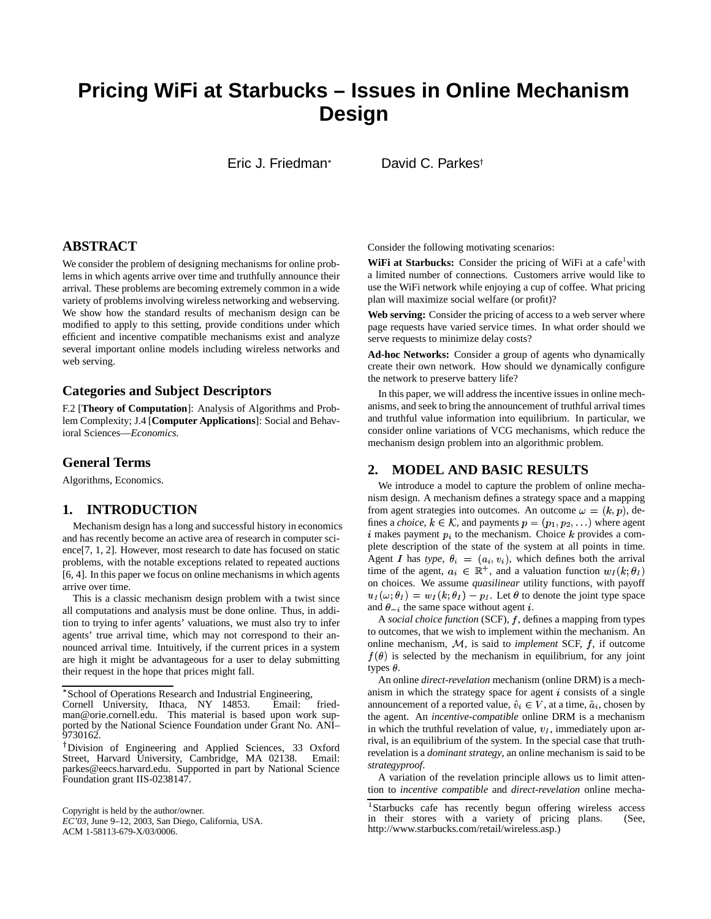# **Pricing WiFi at Starbucks – Issues in Online Mechanism Design**

Eric J. Friedman

David C. Parkes

## **ABSTRACT**

We consider the problem of designing mechanisms for online problems in which agents arrive over time and truthfully announce their arrival. These problems are becoming extremely common in a wide variety of problems involving wireless networking and webserving. We show how the standard results of mechanism design can be modified to apply to this setting, provide conditions under which efficient and incentive compatible mechanisms exist and analyze several important online models including wireless networks and web serving.

#### **Categories and Subject Descriptors**

F.2 [**Theory of Computation**]: Analysis of Algorithms and Problem Complexity; J.4 [**Computer Applications**]: Social and Behavioral Sciences—*Economics.*

#### **General Terms**

Algorithms, Economics.

#### **1. INTRODUCTION**

Mechanism design has a long and successful history in economics and has recently become an active area of research in computer science[7, 1, 2]. However, most research to date has focused on static problems, with the notable exceptions related to repeated auctions [6, 4]. In this paper we focus on online mechanisms in which agents arrive over time.

This is a classic mechanism design problem with a twist since all computations and analysis must be done online. Thus, in addition to trying to infer agents' valuations, we must also try to infer agents' true arrival time, which may not correspond to their announced arrival time. Intuitively, if the current prices in a system are high it might be advantageous for a user to delay submitting their request in the hope that prices might fall.

School of Operations Research and Industrial Engineering,

Copyright is held by the author/owner.

*EC'03,* June 9–12, 2003, San Diego, California, USA. ACM 1-58113-679-X/03/0006.

Consider the following motivating scenarios:

**WiFi at Starbucks:** Consider the pricing of WiFi at a cafe<sup>1</sup>with a limited number of connections. Customers arrive would like to use the WiFi network while enjoying a cup of coffee. What pricing plan will maximize social welfare (or profit)?

**Web serving:** Consider the pricing of access to a web server where page requests have varied service times. In what order should we serve requests to minimize delay costs?

**Ad-hoc Networks:** Consider a group of agents who dynamically create their own network. How should we dynamically configure the network to preserve battery life?

In this paper, we will address the incentive issues in online mechanisms, and seek to bring the announcement of truthful arrival times and truthful value information into equilibrium. In particular, we consider online variations of VCG mechanisms, which reduce the mechanism design problem into an algorithmic problem.

## **2. MODEL AND BASIC RESULTS**

We introduce a model to capture the problem of online mechanism design. A mechanism defines a strategy space and a mapping from agent strategies into outcomes. An outcome  $\omega = (k, p)$ , defines a *choice*,  $k \in \mathcal{K}$ , and payments  $p = (p_1, p_2, \ldots)$  where agent i makes payment  $p_i$  to the mechanism. Choice  $k$  provides a complete description of the state of the system at all points in time. Agent *I* has *type*,  $\theta_i = (a_i, v_i)$ , which defines both the arrival time of the agent,  $a_i \in \mathbb{R}^+$ , and a valuation function  $w_I(k, \theta_I)$ . on choices. We assume *quasilinear* utility functions, with payoff  $u_I(\omega;\theta_I) = w_I(k;\theta_I) - p_I$ . Let  $\theta$  to denote the joint type space and  $\theta_{-i}$  the same space without agent *i*.

A social choice function (SCF), f, defines a mapping from types to outcomes, that we wish to implement within the mechanism. An online mechanism,  $M$ , is said to *implement* SCF,  $f$ , if outcome  $f(\theta)$  is selected by the mechanism in equilibrium, for any joint types  $\theta$ .

An online *direct-revelation* mechanism (online DRM) is a mechanism in which the strategy space for agent  $i$  consists of a single announcement of a reported value,  $\hat{v}_i \in V$ , at a time,  $\hat{a}_i$ , chosen by the agent. An *incentive-compatible* online DRM is a mechanism in which the truthful revelation of value,  $v_I$ , immediately upon arrival, is an equilibrium of the system. In the special case that truthrevelation is a *dominant strategy*, an online mechanism is said to be *strategyproof*.

A variation of the revelation principle allows us to limit attention to *incentive compatible* and *direct-revelation* online mecha-

Cornell University, Ithaca, NY 14853. Email: friedman@orie.cornell.edu. This material is based upon work supported by the National Science Foundation under Grant No. ANI– 9730162.

Division of Engineering and Applied Sciences, 33 Oxford Street, Harvard University, Cambridge, MA 02138. Email: parkes@eecs.harvard.edu. Supported in part by National Science Foundation grant IIS-0238147.

Starbucks cafe has recently begun offering wireless access in their stores with a variety of pricing plans. (See, http://www.starbucks.com/retail/wireless.asp.)